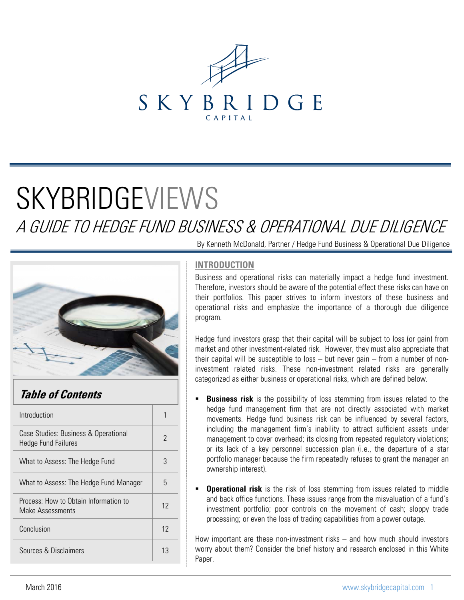

# **SKYBRIDGEVIEWS**

A GUIDE TO HEDGE FUND BUSINESS & OPERATIONAL DUE DILIGENCE



# **Table of Contents**

| Introduction                                                       |    |
|--------------------------------------------------------------------|----|
| Case Studies: Business & Operational<br><b>Hedge Fund Failures</b> | 2  |
| What to Assess: The Hedge Fund                                     | 3  |
| What to Assess: The Hedge Fund Manager                             | 5  |
| Process: How to Obtain Information to<br>Make Assessments          | 12 |
| Conclusion                                                         | 12 |
| Sources & Disclaimers                                              | 13 |
|                                                                    |    |

By Kenneth McDonald, Partner / Hedge Fund Business & Operational Due Diligence

## **INTRODUCTION**

Business and operational risks can materially impact a hedge fund investment. Therefore, investors should be aware of the potential effect these risks can have on their portfolios. This paper strives to inform investors of these business and operational risks and emphasize the importance of a thorough due diligence program.

Hedge fund investors grasp that their capital will be subject to loss (or gain) from market and other investment-related risk. However, they must also appreciate that their capital will be susceptible to loss  $-$  but never gain  $-$  from a number of noninvestment related risks. These non-investment related risks are generally categorized as either business or operational risks, which are defined below.

- **Business risk** is the possibility of loss stemming from issues related to the hedge fund management firm that are not directly associated with market movements. Hedge fund business risk can be influenced by several factors, including the management firm's inability to attract sufficient assets under management to cover overhead; its closing from repeated regulatory violations; or its lack of a key personnel succession plan (i.e., the departure of a star portfolio manager because the firm repeatedly refuses to grant the manager an ownership interest).
- **Operational risk** is the risk of loss stemming from issues related to middle and back office functions. These issues range from the misvaluation of a fund's investment portfolio; poor controls on the movement of cash; sloppy trade processing; or even the loss of trading capabilities from a power outage.

How important are these non-investment risks – and how much should investors worry about them? Consider the brief history and research enclosed in this White Paper.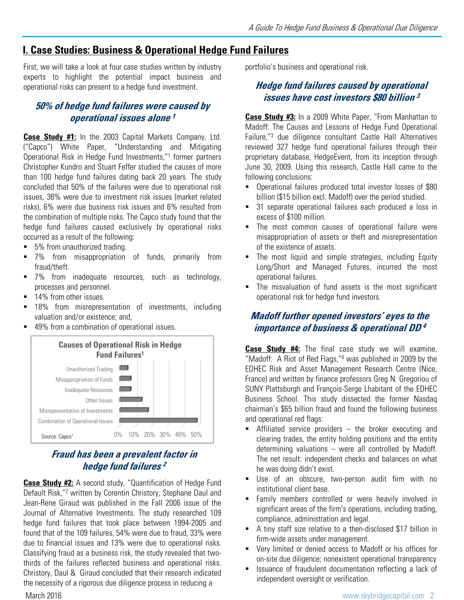# **I. Case Studies: Business & Operational Hedge Fund Failures**

First, we will take a look at four case studies written by industry experts to highlight the potential impact business and operational risks can present to a hedge fund investment.

# **50% of hedge fund failures were caused by operational issues alone <sup>1</sup>**

**Case Study #1:** In the 2003 Capital Markets Company, Ltd. ("Capco") White Paper, "Understanding and Mitigating Operational Risk in Hedge Fund Investments,"1 former partners Christopher Kundro and Stuart Feffer studied the causes of more than 100 hedge fund failures dating back 20 years. The study concluded that 50% of the failures were due to operational risk issues, 38% were due to investment risk issues (market related risks), 6% were due business risk issues and 6% resulted from the combination of multiple risks. The Capco study found that the hedge fund failures caused exclusively by operational risks occurred as a result of the following:

- 5% from unauthorized trading.
- 7% from misappropriation of funds, primarily from fraud/theft.
- 7% from inadequate resources, such as technology, processes and personnel.
- 14% from other issues.
- **18%** from misrepresentation of investments, including valuation and/or existence; and,
- 49% from a combination of operational issues.



# **Fraud has been a prevalent factor in hedge fund failures <sup>2</sup>**

**Case Study #2:** A second study, "Quantification of Hedge Fund Default Risk,"2 written by Corentin Christory, Stephane Daul and Jean-Rene Giraud was published in the Fall 2006 issue of the Journal of Alternative Investments. The study researched 109 hedge fund failures that took place between 1994-2005 and found that of the 109 failures, 54% were due to fraud, 33% were due to financial issues and 13% were due to operational risks. Classifying fraud as a business risk, the study revealed that twothirds of the failures reflected business and operational risks. Christory, Daul & Giraud concluded that their research indicated the necessity of a rigorous due diligence process in reducing a

portfolio's business and operational risk.

# **Hedge fund failures caused by operational issues have cost investors \$80 billion <sup>3</sup>**

**Case Study #3:** In a 2009 White Paper, "From Manhattan to Madoff: The Causes and Lessons of Hedge Fund Operational Failure,"3 due diligence consultant Castle Hall Alternatives reviewed 327 hedge fund operational failures through their proprietary database, HedgeEvent, from its inception through June 30, 2009. Using this research, Castle Hall came to the following conclusions:

- Operational failures produced total investor losses of \$80 billion (\$15 billion excl. Madoff) over the period studied.
- 31 separate operational failures each produced a loss in excess of \$100 million.
- **The most common causes of operational failure were** misappropriation of assets or theft and misrepresentation of the existence of assets.
- The most liquid and simple strategies, including Equity Long/Short and Managed Futures, incurred the most operational failures.
- The misvaluation of fund assets is the most significant operational risk for hedge fund investors.

# **Madoff further opened investors' eyes to the importance of business & operational DD <sup>4</sup>**

**Case Study #4:** The final case study we will examine, "Madoff: A Riot of Red Flags,"4 was published in 2009 by the EDHEC Risk and Asset Management Research Centre (Nice, France) and written by finance professors Greg N. Gregoriou of SUNY Plattsburgh and François-Serge Lhabitant of the EDHEC Business School. This study dissected the former Nasdaq chairman's \$65 billion fraud and found the following business and operational red flags:

- Affiliated service providers the broker executing and clearing trades, the entity holding positions and the entity determining valuations – were all controlled by Madoff. The net result: independent checks and balances on what he was doing didn't exist.
- Use of an obscure, two-person audit firm with no institutional client base.
- **Family members controlled or were heavily involved in** significant areas of the firm's operations, including trading, compliance, administration and legal.
- A tiny staff size relative to a then-disclosed \$17 billion in firm-wide assets under management.
- Very limited or denied access to Madoff or his offices for on-site due diligence; nonexistent operational transparency
- Issuance of fraudulent documentation reflecting a lack of independent oversight or verification.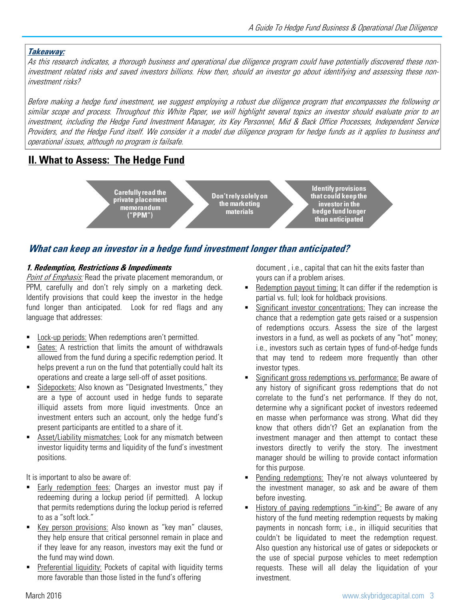#### **Takeaway:**

As this research indicates, <sup>a</sup> thorough business and operational due diligence program could have potentially discovered these noninvestment related risks and saved investors billions. How then, should an investor go about identifying and assessing these noninvestment risks?

Before making <sup>a</sup> hedge fund investment, we suggest employing <sup>a</sup> robust due diligence program that encompasses the following or similar scope and process. Throughout this White Paper, we will highlight several topics an investor should evaluate prior to an investment, including the Hedge Fund Investment Manager, its Key Personnel, Mid & Back Office Processes, Independent Service Providers, and the Hedge Fund itself. We consider it <sup>a</sup> model due diligence program for hedge funds as it applies to business and operational issues, although no program is failsafe.

# **II. What to Assess: The Hedge Fund**

**Don't rely solely on the marketing materials**

**Identify provisions that could keep the investor in the hedge fund longer than anticipated**

# What can keep an investor in a hedge fund investment longer than anticipated?

#### **1. Redemption, Restrictions & Impediments**

Point of Emphasis: Read the private placement memorandum, or PPM, carefully and don't rely simply on a marketing deck. Identify provisions that could keep the investor in the hedge fund longer than anticipated. Look for red flags and any language that addresses:

**Carefully read the private placement memorandum ("PPM")**

- Lock-up periods: When redemptions aren't permitted.
- Gates: A restriction that limits the amount of withdrawals allowed from the fund during a specific redemption period. It helps prevent a run on the fund that potentially could halt its operations and create a large sell-off of asset positions.
- Sidepockets: Also known as "Designated Investments," they are a type of account used in hedge funds to separate illiquid assets from more liquid investments. Once an investment enters such an account, only the hedge fund's present participants are entitled to a share of it.
- **Asset/Liability mismatches: Look for any mismatch between** investor liquidity terms and liquidity of the fund's investment positions.

It is important to also be aware of:

- Early redemption fees: Charges an investor must pay if redeeming during a lockup period (if permitted). A lockup that permits redemptions during the lockup period is referred to as a "soft lock."
- Key person provisions: Also known as "key man" clauses, they help ensure that critical personnel remain in place and if they leave for any reason, investors may exit the fund or the fund may wind down.
- Preferential liquidity: Pockets of capital with liquidity terms more favorable than those listed in the fund's offering

document , i.e., capital that can hit the exits faster than yours can if a problem arises.

- Redemption payout timing: It can differ if the redemption is partial vs. full; look for holdback provisions.
- Significant investor concentrations: They can increase the chance that a redemption gate gets raised or a suspension of redemptions occurs. Assess the size of the largest investors in a fund, as well as pockets of any "hot" money; i.e., investors such as certain types of fund-of-hedge funds that may tend to redeem more frequently than other investor types.
- Significant gross redemptions vs. performance: Be aware of any history of significant gross redemptions that do not correlate to the fund's net performance. If they do not, determine why a significant pocket of investors redeemed en masse when performance was strong. What did they know that others didn't? Get an explanation from the investment manager and then attempt to contact these investors directly to verify the story. The investment manager should be willing to provide contact information for this purpose.
- Pending redemptions: They're not always volunteered by the investment manager, so ask and be aware of them before investing.
- History of paying redemptions "in-kind": Be aware of any history of the fund meeting redemption requests by making payments in noncash form; i.e., in illiquid securities that couldn't be liquidated to meet the redemption request. Also question any historical use of gates or sidepockets or the use of special purpose vehicles to meet redemption requests. These will all delay the liquidation of your investment.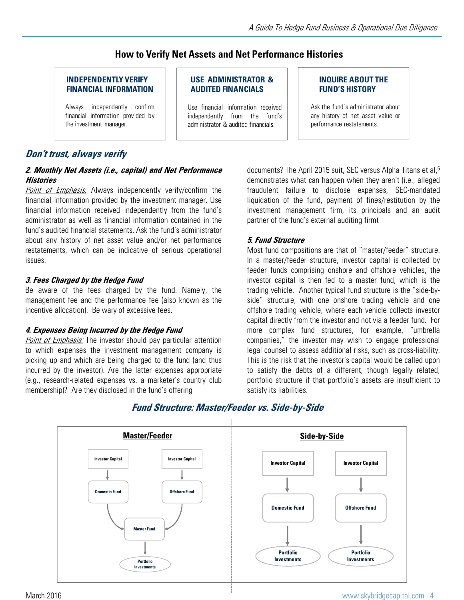## **How to Verify Net Assets and Net Performance Histories**

#### **INDEPENDENTLY VERIFY FINANCIAL INFORMATION**

Always independently confirm financial information provided by the investment manager.

#### **USE ADMINISTRATOR & AUDITED FINANCIALS**

Use financial information received independently from the fund's administrator & audited financials.

#### **INQUIRE ABOUT THE FUND'S HISTORY**

Ask the fund's administrator about any history of net asset value or performance restatements.

## **Don't trust, always verify**

#### **2. Monthly Net Assets (i.e., capital) and Net Performance Histories**

**Point of Emphasis:** Always independently verify/confirm the financial information provided by the investment manager. Use financial information received independently from the fund's administrator as well as financial information contained in the fund's audited financial statements. Ask the fund's administrator about any history of net asset value and/or net performance restatements, which can be indicative of serious operational issues.

#### **3. Fees Charged by the Hedge Fund**

Be aware of the fees charged by the fund. Namely, the management fee and the performance fee (also known as the incentive allocation). Be wary of excessive fees.

#### **4. Expenses Being Incurred by the Hedge Fund**

Point of Emphasis: The investor should pay particular attention to which expenses the investment management company is picking up and which are being charged to the fund (and thus incurred by the investor). Are the latter expenses appropriate (e.g., research-related expenses vs. a marketer's country club membership)? Are they disclosed in the fund's offering

documents? The April 2015 suit, SEC versus Alpha Titans et al,<sup>5</sup> demonstrates what can happen when they aren't (i.e., alleged fraudulent failure to disclose expenses, SEC-mandated liquidation of the fund, payment of fines/restitution by the investment management firm, its principals and an audit partner of the fund's external auditing firm).

#### **5. Fund Structure**

Most fund compositions are that of "master/feeder" structure. In a master/feeder structure, investor capital is collected by feeder funds comprising onshore and offshore vehicles, the investor capital is then fed to a master fund, which is the trading vehicle. Another typical fund structure is the "side-byside" structure, with one onshore trading vehicle and one offshore trading vehicle, where each vehicle collects investor capital directly from the investor and not via a feeder fund. For more complex fund structures, for example, "umbrella companies," the investor may wish to engage professional legal counsel to assess additional risks, such as cross-liability. This is the risk that the investor's capital would be called upon to satisfy the debts of a different, though legally related, portfolio structure if that portfolio's assets are insufficient to satisfy its liabilities.



# **Fund Structure: Master/Feeder vs. Side-by-Side**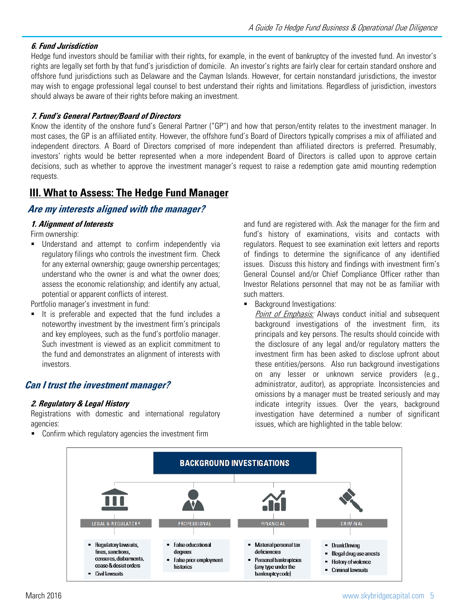# **6. Fund Jurisdiction**

Hedge fund investors should be familiar with their rights, for example, in the event of bankruptcy of the invested fund. An investor's rights are legally set forth by that fund's jurisdiction of domicile. An investor's rights are fairly clear for certain standard onshore and offshore fund jurisdictions such as Delaware and the Cayman Islands. However, for certain nonstandard jurisdictions, the investor may wish to engage professional legal counsel to best understand their rights and limitations. Regardless of jurisdiction, investors should always be aware of their rights before making an investment.

#### **7. Fund's General Partner/Board of Directors**

Know the identity of the onshore fund's General Partner ("GP") and how that person/entity relates to the investment manager. In most cases, the GP is an affiliated entity. However, the offshore fund's Board of Directors typically comprises a mix of affiliated and independent directors. A Board of Directors comprised of more independent than affiliated directors is preferred. Presumably, investors' rights would be better represented when a more independent Board of Directors is called upon to approve certain decisions, such as whether to approve the investment manager's request to raise a redemption gate amid mounting redemption requests.

# **III. What to Assess: The Hedge Fund Manager**

# **Are my interests aligned with the manager?**

#### **1. Alignment of Interests**

Firm ownership:

**Understand and attempt to confirm independently via** regulatory filings who controls the investment firm. Check for any external ownership; gauge ownership percentages; understand who the owner is and what the owner does; assess the economic relationship; and identify any actual, potential or apparent conflicts of interest.

Portfolio manager's investment in fund:

 It is preferable and expected that the fund includes a noteworthy investment by the investment firm's principals and key employees, such as the fund's portfolio manager. Such investment is viewed as an explicit commitment to the fund and demonstrates an alignment of interests with investors.

# **Can I trust the investment manager?**

#### **2. Regulatory & Legal History**

Registrations with domestic and international regulatory agencies:

**Confirm which regulatory agencies the investment firm** 

and fund are registered with. Ask the manager for the firm and fund's history of examinations, visits and contacts with regulators. Request to see examination exit letters and reports of findings to determine the significance of any identified issues. Discuss this history and findings with investment firm's General Counsel and/or Chief Compliance Officer rather than Investor Relations personnel that may not be as familiar with such matters.

**Background Investigations:** 

Point of Emphasis: Always conduct initial and subsequent background investigations of the investment firm, its principals and key persons. The results should coincide with the disclosure of any legal and/or regulatory matters the investment firm has been asked to disclose upfront about these entities/persons. Also run background investigations on any lesser or unknown service providers (e.g., administrator, auditor), as appropriate. Inconsistencies and omissions by a manager must be treated seriously and may indicate integrity issues. Over the years, background investigation have determined a number of significant issues, which are highlighted in the table below:

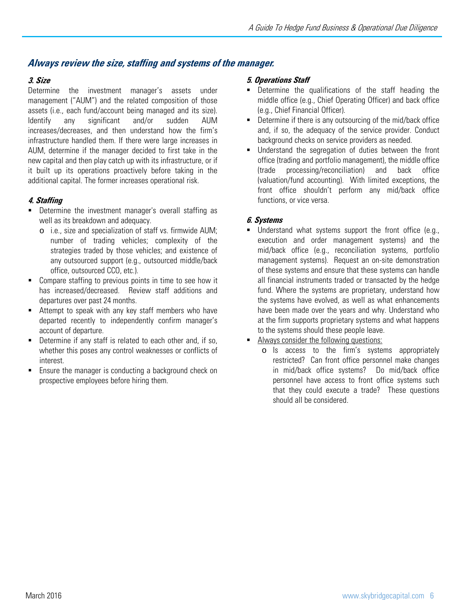## **Always review the size, staffing and systems of the manager.**

#### **3. Size**

Determine the investment manager's assets under management ("AUM") and the related composition of those assets (i.e., each fund/account being managed and its size). Identify any significant and/or sudden AUM increases/decreases, and then understand how the firm's infrastructure handled them. If there were large increases in AUM, determine if the manager decided to first take in the new capital and then play catch up with its infrastructure, or if it built up its operations proactively before taking in the additional capital. The former increases operational risk.

#### **4. Staffing**

- **•** Determine the investment manager's overall staffing as well as its breakdown and adequacy.
	- o i.e., size and specialization of staff vs. firmwide AUM; number of trading vehicles; complexity of the strategies traded by those vehicles; and existence of any outsourced support (e.g., outsourced middle/back office, outsourced CCO, etc.).
- **Compare staffing to previous points in time to see how it** has increased/decreased. Review staff additions and departures over past 24 months.
- Attempt to speak with any key staff members who have departed recently to independently confirm manager's account of departure.
- Determine if any staff is related to each other and, if so, whether this poses any control weaknesses or conflicts of interest.
- **Ensure the manager is conducting a background check on** prospective employees before hiring them.

#### **5. Operations Staff**

- Determine the qualifications of the staff heading the middle office (e.g., Chief Operating Officer) and back office (e.g., Chief Financial Officer).
- **Determine if there is any outsourcing of the mid/back office** and, if so, the adequacy of the service provider. Conduct background checks on service providers as needed.
- Understand the segregation of duties between the front office (trading and portfolio management), the middle office (trade processing/reconciliation) and back office (valuation/fund accounting). With limited exceptions, the front office shouldn't perform any mid/back office functions, or vice versa.

#### **6. Systems**

- Understand what systems support the front office (e.g., execution and order management systems) and the mid/back office (e.g., reconciliation systems, portfolio management systems). Request an on-site demonstration of these systems and ensure that these systems can handle all financial instruments traded or transacted by the hedge fund. Where the systems are proprietary, understand how the systems have evolved, as well as what enhancements have been made over the years and why. Understand who at the firm supports proprietary systems and what happens to the systems should these people leave.
- Always consider the following questions:
	- o Is access to the firm's systems appropriately restricted? Can front office personnel make changes in mid/back office systems? Do mid/back office personnel have access to front office systems such that they could execute a trade? These questions should all be considered.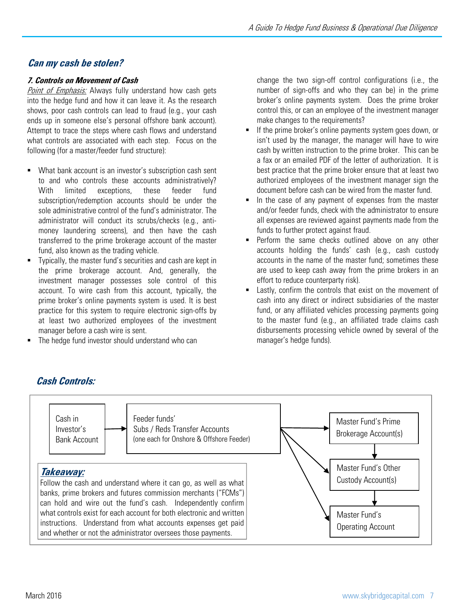# **Can my cash be stolen?**

# **7. Controls on Movement of Cash**

Point of Emphasis: Always fully understand how cash gets into the hedge fund and how it can leave it. As the research shows, poor cash controls can lead to fraud (e.g., your cash ends up in someone else's personal offshore bank account). Attempt to trace the steps where cash flows and understand what controls are associated with each step. Focus on the following (for a master/feeder fund structure):

- What bank account is an investor's subscription cash sent to and who controls these accounts administratively? With limited exceptions, these feeder fund subscription/redemption accounts should be under the sole administrative control of the fund's administrator. The administrator will conduct its scrubs/checks (e.g., antimoney laundering screens), and then have the cash transferred to the prime brokerage account of the master fund, also known as the trading vehicle.
- Typically, the master fund's securities and cash are kept in the prime brokerage account. And, generally, the investment manager possesses sole control of this account. To wire cash from this account, typically, the prime broker's online payments system is used. It is best practice for this system to require electronic sign-offs by at least two authorized employees of the investment manager before a cash wire is sent.
- The hedge fund investor should understand who can

change the two sign-off control configurations (i.e., the number of sign-offs and who they can be) in the prime broker's online payments system. Does the prime broker control this, or can an employee of the investment manager make changes to the requirements?

- **If the prime broker's online payments system goes down, or** isn't used by the manager, the manager will have to wire cash by written instruction to the prime broker. This can be a fax or an emailed PDF of the letter of authorization. It is best practice that the prime broker ensure that at least two authorized employees of the investment manager sign the document before cash can be wired from the master fund.
- In the case of any payment of expenses from the master and/or feeder funds, check with the administrator to ensure all expenses are reviewed against payments made from the funds to further protect against fraud.
- Perform the same checks outlined above on any other accounts holding the funds' cash (e.g., cash custody accounts in the name of the master fund; sometimes these are used to keep cash away from the prime brokers in an effort to reduce counterparty risk).
- **Example 1** Lastly, confirm the controls that exist on the movement of cash into any direct or indirect subsidiaries of the master fund, or any affiliated vehicles processing payments going to the master fund (e.g., an affiliated trade claims cash disbursements processing vehicle owned by several of the manager's hedge funds).



# **Cash Controls:**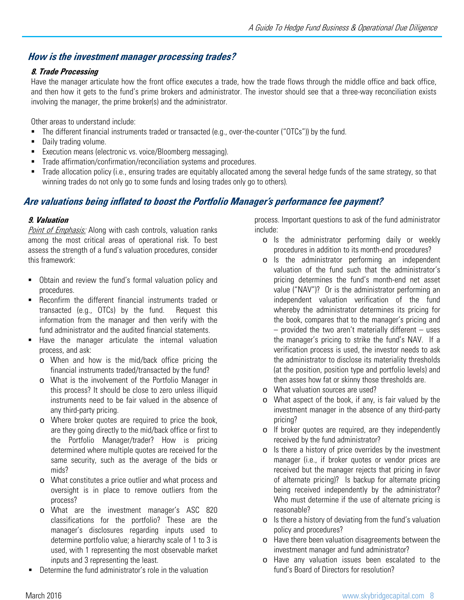## **How is the investment manager processing trades?**

#### **8. Trade Processing**

Have the manager articulate how the front office executes a trade, how the trade flows through the middle office and back office, and then how it gets to the fund's prime brokers and administrator. The investor should see that a three-way reconciliation exists involving the manager, the prime broker(s) and the administrator.

Other areas to understand include:

- The different financial instruments traded or transacted (e.g., over-the-counter ("OTCs")) by the fund.
- **Daily trading volume.**
- **Execution means (electronic vs. voice/Bloomberg messaging).**
- **Trade affirmation/confirmation/reconciliation systems and procedures.**
- Trade allocation policy (i.e., ensuring trades are equitably allocated among the several hedge funds of the same strategy, so that winning trades do not only go to some funds and losing trades only go to others).

# Are valuations being inflated to boost the Portfolio Manager's performance fee payment?

#### **9. Valuation**

Point of Emphasis: Along with cash controls, valuation ranks among the most critical areas of operational risk. To best assess the strength of a fund's valuation procedures, consider this framework:

- Obtain and review the fund's formal valuation policy and procedures.
- Reconfirm the different financial instruments traded or transacted (e.g., OTCs) by the fund. Request this information from the manager and then verify with the fund administrator and the audited financial statements.
- **Have the manager articulate the internal valuation** process, and ask:
	- o When and how is the mid/back office pricing the financial instruments traded/transacted by the fund?
	- o What is the involvement of the Portfolio Manager in this process? It should be close to zero unless illiquid instruments need to be fair valued in the absence of any third-party pricing.
	- o Where broker quotes are required to price the book, are they going directly to the mid/back office or first to the Portfolio Manager/trader? How is pricing determined where multiple quotes are received for the same security, such as the average of the bids or mids?
	- o What constitutes a price outlier and what process and oversight is in place to remove outliers from the process?
	- o What are the investment manager's ASC 820 classifications for the portfolio? These are the manager's disclosures regarding inputs used to determine portfolio value; a hierarchy scale of 1 to 3 is used, with 1 representing the most observable market inputs and 3 representing the least.
- Determine the fund administrator's role in the valuation

process. Important questions to ask of the fund administrator include:

- o Is the administrator performing daily or weekly procedures in addition to its month-end procedures?
- o Is the administrator performing an independent valuation of the fund such that the administrator's pricing determines the fund's month-end net asset value ("NAV")? Or is the administrator performing an independent valuation verification of the fund whereby the administrator determines its pricing for the book, compares that to the manager's pricing and  $-$  provided the two aren't materially different  $-$  uses the manager's pricing to strike the fund's NAV. If a verification process is used, the investor needs to ask the administrator to disclose its materiality thresholds (at the position, position type and portfolio levels) and then asses how fat or skinny those thresholds are.
- o What valuation sources are used?
- o What aspect of the book, if any, is fair valued by the investment manager in the absence of any third-party pricing?
- o If broker quotes are required, are they independently received by the fund administrator?
- o Is there a history of price overrides by the investment manager (i.e., if broker quotes or vendor prices are received but the manager rejects that pricing in favor of alternate pricing)? Is backup for alternate pricing being received independently by the administrator? Who must determine if the use of alternate pricing is reasonable?
- o Is there a history of deviating from the fund's valuation policy and procedures?
- o Have there been valuation disagreements between the investment manager and fund administrator?
- o Have any valuation issues been escalated to the fund's Board of Directors for resolution?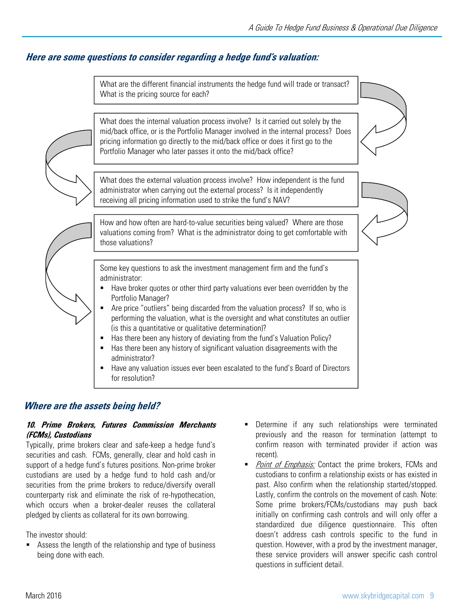# **Here are some questions to consider regarding <sup>a</sup> hedge fund's valuation:**

What are the different financial instruments the hedge fund will trade or transact? What is the pricing source for each?

- administrator?
- **Have any valuation issues ever been escalated to the fund's Board of Directors** for resolution?

## **Where are the assets being held?**

#### **10. Prime Brokers, Futures Commission Merchants (FCMs), Custodians**

Typically, prime brokers clear and safe-keep a hedge fund's securities and cash. FCMs, generally, clear and hold cash in support of a hedge fund's futures positions. Non-prime broker custodians are used by a hedge fund to hold cash and/or securities from the prime brokers to reduce/diversify overall counterparty risk and eliminate the risk of re-hypothecation, which occurs when a broker-dealer reuses the collateral pledged by clients as collateral for its own borrowing.

The investor should:

 Assess the length of the relationship and type of business being done with each.

- Determine if any such relationships were terminated previously and the reason for termination (attempt to confirm reason with terminated provider if action was recent).
- Point of Emphasis: Contact the prime brokers, FCMs and custodians to confirm a relationship exists or has existed in past. Also confirm when the relationship started/stopped. Lastly, confirm the controls on the movement of cash. Note: Some prime brokers/FCMs/custodians may push back initially on confirming cash controls and will only offer a standardized due diligence questionnaire. This often doesn't address cash controls specific to the fund in question. However, with a prod by the investment manager, these service providers will answer specific cash control questions in sufficient detail.

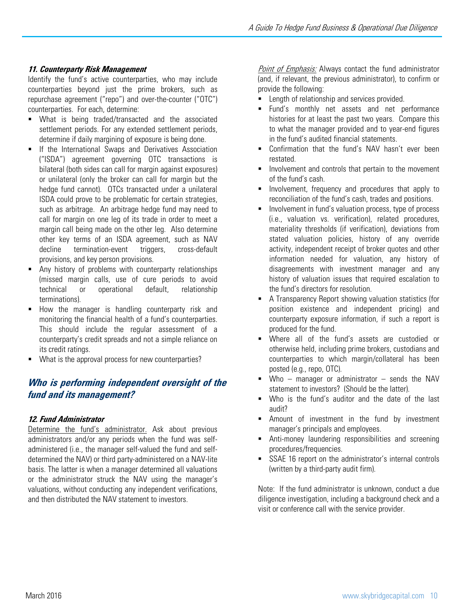#### **11. Counterparty Risk Management**

Identify the fund's active counterparties, who may include counterparties beyond just the prime brokers, such as repurchase agreement ("repo") and over-the-counter ("OTC") counterparties. For each, determine:

- **What is being traded/transacted and the associated** settlement periods. For any extended settlement periods, determine if daily margining of exposure is being done.
- **If the International Swaps and Derivatives Association** ("ISDA") agreement governing OTC transactions is bilateral (both sides can call for margin against exposures) or unilateral (only the broker can call for margin but the hedge fund cannot). OTCs transacted under a unilateral ISDA could prove to be problematic for certain strategies, such as arbitrage. An arbitrage hedge fund may need to call for margin on one leg of its trade in order to meet a margin call being made on the other leg. Also determine other key terms of an ISDA agreement, such as NAV decline termination-event triggers, cross-default provisions, and key person provisions.
- Any history of problems with counterparty relationships (missed margin calls, use of cure periods to avoid technical or operational default, relationship terminations).
- **How the manager is handling counterparty risk and** monitoring the financial health of a fund's counterparties. This should include the regular assessment of a counterparty's credit spreads and not a simple reliance on its credit ratings.
- What is the approval process for new counterparties?

# **Who is performing independent oversight of the fund and its management?**

#### **12. Fund Administrator**

Determine the fund's administrator. Ask about previous administrators and/or any periods when the fund was selfadministered (i.e., the manager self-valued the fund and selfdetermined the NAV) or third party-administered on a NAV-lite basis. The latter is when a manager determined all valuations or the administrator struck the NAV using the manager's valuations, without conducting any independent verifications, and then distributed the NAV statement to investors.

Point of Emphasis: Always contact the fund administrator (and, if relevant, the previous administrator), to confirm or provide the following:

- **EXECUTE:** Length of relationship and services provided.
- Fund's monthly net assets and net performance histories for at least the past two years. Compare this to what the manager provided and to year-end figures in the fund's audited financial statements.
- **E.** Confirmation that the fund's NAV hasn't ever been restated.
- **Involvement and controls that pertain to the movement** of the fund's cash.
- **Involvement, frequency and procedures that apply to** reconciliation of the fund's cash, trades and positions.
- Involvement in fund's valuation process, type of process (i.e., valuation vs. verification), related procedures, materiality thresholds (if verification), deviations from stated valuation policies, history of any override activity, independent receipt of broker quotes and other information needed for valuation, any history of disagreements with investment manager and any history of valuation issues that required escalation to the fund's directors for resolution.
- A Transparency Report showing valuation statistics (for position existence and independent pricing) and counterparty exposure information, if such a report is produced for the fund.
- Where all of the fund's assets are custodied or otherwise held, including prime brokers, custodians and counterparties to which margin/collateral has been posted (e.g., repo, OTC).
- $\blacksquare$  Who manager or administrator sends the NAV statement to investors? (Should be the latter).
- Who is the fund's auditor and the date of the last audit?
- **Amount of investment in the fund by investment** manager's principals and employees.
- Anti-money laundering responsibilities and screening procedures/frequencies.
- SSAE 16 report on the administrator's internal controls (written by a third-party audit firm).

Note: If the fund administrator is unknown, conduct a due diligence investigation, including a background check and a visit or conference call with the service provider.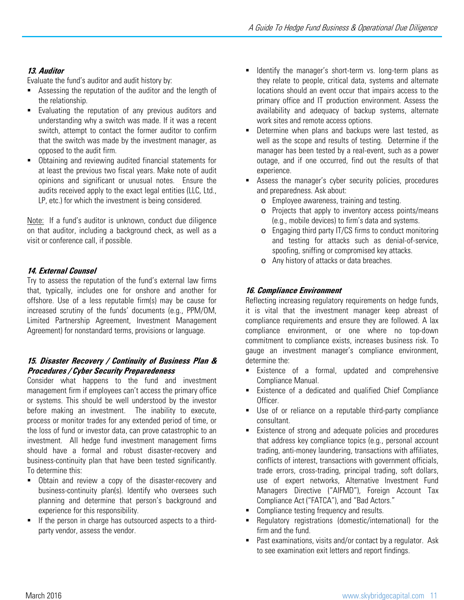# **13. Auditor**

Evaluate the fund's auditor and audit history by:

- Assessing the reputation of the auditor and the length of the relationship.
- **Evaluating the reputation of any previous auditors and** understanding why a switch was made. If it was a recent switch, attempt to contact the former auditor to confirm that the switch was made by the investment manager, as opposed to the audit firm.
- Obtaining and reviewing audited financial statements for at least the previous two fiscal years. Make note of audit opinions and significant or unusual notes. Ensure the audits received apply to the exact legal entities (LLC, Ltd., LP, etc.) for which the investment is being considered.

Note: If a fund's auditor is unknown, conduct due diligence on that auditor, including a background check, as well as a visit or conference call, if possible.

## **14. External Counsel**

Try to assess the reputation of the fund's external law firms that, typically, includes one for onshore and another for offshore. Use of a less reputable firm(s) may be cause for increased scrutiny of the funds' documents (e.g., PPM/OM, Limited Partnership Agreement, Investment Management Agreement) for nonstandard terms, provisions or language.

#### **15. Disaster Recovery / Continuity of Business Plan & Procedures / Cyber Security Preparedeness**

Consider what happens to the fund and investment management firm if employees can't access the primary office or systems. This should be well understood by the investor before making an investment. The inability to execute, process or monitor trades for any extended period of time, or the loss of fund or investor data, can prove catastrophic to an investment. All hedge fund investment management firms should have a formal and robust disaster-recovery and business-continuity plan that have been tested significantly. To determine this:

- Obtain and review a copy of the disaster-recovery and business-continuity plan(s). Identify who oversees such planning and determine that person's background and experience for this responsibility.
- If the person in charge has outsourced aspects to a thirdparty vendor, assess the vendor.
- Identify the manager's short-term vs. long-term plans as they relate to people, critical data, systems and alternate locations should an event occur that impairs access to the primary office and IT production environment. Assess the availability and adequacy of backup systems, alternate work sites and remote access options.
- Determine when plans and backups were last tested, as well as the scope and results of testing. Determine if the manager has been tested by a real-event, such as a power outage, and if one occurred, find out the results of that experience.
- Assess the manager's cyber security policies, procedures and preparedness. Ask about:
	- o Employee awareness, training and testing.
	- o Projects that apply to inventory access points/means (e.g., mobile devices) to firm's data and systems.
	- o Engaging third party IT/CS firms to conduct monitoring and testing for attacks such as denial-of-service, spoofing, sniffing or compromised key attacks.
	- o Any history of attacks or data breaches.

## **16. Compliance Environment**

Reflecting increasing regulatory requirements on hedge funds, it is vital that the investment manager keep abreast of compliance requirements and ensure they are followed. A lax compliance environment, or one where no top-down commitment to compliance exists, increases business risk. To gauge an investment manager's compliance environment, determine the:

- **Existence of a formal, updated and comprehensive** Compliance Manual.
- Existence of a dedicated and qualified Chief Compliance Officer.
- Use of or reliance on a reputable third-party compliance consultant.
- **Existence of strong and adequate policies and procedures** that address key compliance topics (e.g., personal account trading, anti-money laundering, transactions with affiliates, conflicts of interest, transactions with government officials, trade errors, cross-trading, principal trading, soft dollars, use of expert networks, Alternative Investment Fund Managers Directive ("AIFMD"), Foreign Account Tax Compliance Act ("FATCA"), and "Bad Actors."
- Compliance testing frequency and results.
- Regulatory registrations (domestic/international) for the firm and the fund.
- Past examinations, visits and/or contact by a regulator. Ask to see examination exit letters and report findings.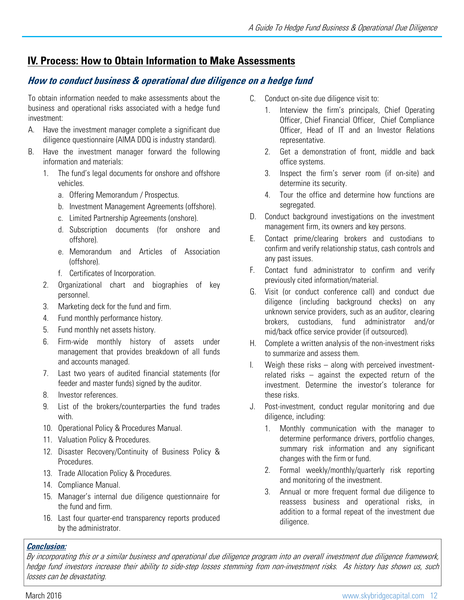# **IV. Process: How to Obtain Information to Make Assessments**

# How to conduct business & operational due diligence on a hedge fund

To obtain information needed to make assessments about the business and operational risks associated with a hedge fund investment:

- A. Have the investment manager complete a significant due diligence questionnaire (AIMA DDQ is industry standard).
- B. Have the investment manager forward the following information and materials:
	- 1. The fund's legal documents for onshore and offshore vehicles.
		- a. Offering Memorandum / Prospectus.
		- b. Investment Management Agreements (offshore).
		- c. Limited Partnership Agreements (onshore).
		- d. Subscription documents (for onshore and offshore).
		- e. Memorandum and Articles of Association (offshore).
		- f. Certificates of Incorporation.
	- 2. Organizational chart and biographies of key personnel.
	- 3. Marketing deck for the fund and firm.
	- 4. Fund monthly performance history.
	- 5. Fund monthly net assets history.
	- 6. Firm-wide monthly history of assets under management that provides breakdown of all funds and accounts managed.
	- 7. Last two years of audited financial statements (for feeder and master funds) signed by the auditor.
	- 8. Investor references.
	- 9. List of the brokers/counterparties the fund trades with.
	- 10. Operational Policy & Procedures Manual.
	- 11. Valuation Policy & Procedures.
	- 12. Disaster Recovery/Continuity of Business Policy & Procedures.
	- 13. Trade Allocation Policy & Procedures.
	- 14. Compliance Manual.
	- 15. Manager's internal due diligence questionnaire for the fund and firm.
	- 16. Last four quarter-end transparency reports produced by the administrator.
- C. Conduct on-site due diligence visit to:
	- 1. Interview the firm's principals, Chief Operating Officer, Chief Financial Officer, Chief Compliance Officer, Head of IT and an Investor Relations representative.
	- 2. Get a demonstration of front, middle and back office systems.
	- 3. Inspect the firm's server room (if on-site) and determine its security.
	- 4. Tour the office and determine how functions are segregated.
- D. Conduct background investigations on the investment management firm, its owners and key persons.
- E. Contact prime/clearing brokers and custodians to confirm and verify relationship status, cash controls and any past issues.
- F. Contact fund administrator to confirm and verify previously cited information/material.
- G. Visit (or conduct conference call) and conduct due diligence (including background checks) on any unknown service providers, such as an auditor, clearing brokers, custodians, fund administrator and/or mid/back office service provider (if outsourced).
- H. Complete a written analysis of the non-investment risks to summarize and assess them.
- I. Weigh these risks along with perceived investmentrelated risks – against the expected return of the investment. Determine the investor's tolerance for these risks.
- J. Post-investment, conduct regular monitoring and due diligence, including:
	- 1. Monthly communication with the manager to determine performance drivers, portfolio changes, summary risk information and any significant changes with the firm or fund.
	- 2. Formal weekly/monthly/quarterly risk reporting and monitoring of the investment.
	- 3. Annual or more frequent formal due diligence to reassess business and operational risks, in addition to a formal repeat of the investment due diligence.

# **Conclusion:**

By incorporating this or <sup>a</sup> similar business and operational due diligence program into an overall investment due diligence framework, hedge fund investors increase their ability to side-step losses stemming from non-investment risks. As history has shown us, such losses can be devastating.